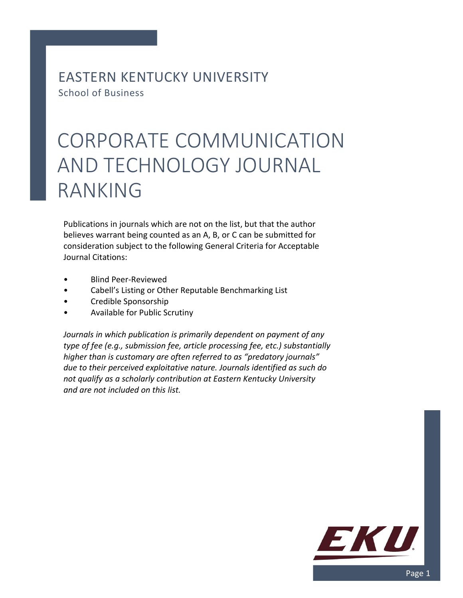EASTERN KENTUCKY UNIVERSITY School of Business

## CORPORATE COMMUNICATION AND TECHNOLOGY JOURNAL RANKING

Publications in journals which are not on the list, but that the author believes warrant being counted as an A, B, or C can be submitted for consideration subject to the following General Criteria for Acceptable Journal Citations:

- Blind Peer-Reviewed
- Cabell's Listing or Other Reputable Benchmarking List
- Credible Sponsorship
- Available for Public Scrutiny

*Journals in which publication is primarily dependent on payment of any type of fee (e.g., submission fee, article processing fee, etc.) substantially higher than is customary are often referred to as "predatory journals" due to their perceived exploitative nature. Journals identified as such do not qualify as a scholarly contribution at Eastern Kentucky University and are not included on this list.*

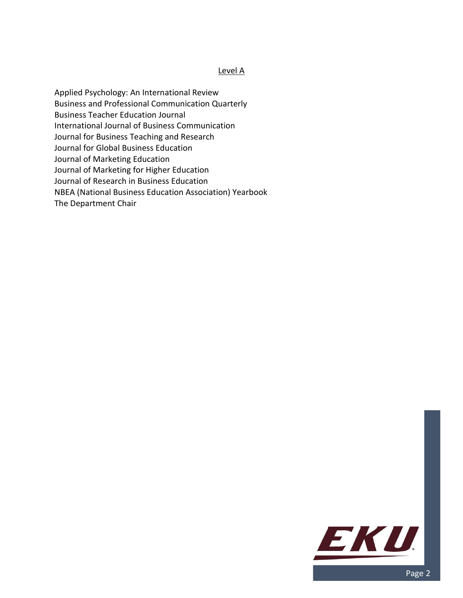## Level A

Applied Psychology: An International Review Business and Professional Communication Quarterly Business Teacher Education Journal International Journal of Business Communication Journal for Business Teaching and Research Journal for Global Business Education Journal of Marketing Education Journal of Marketing for Higher Education Journal of Research in Business Education NBEA (National Business Education Association) Yearbook The Department Chair

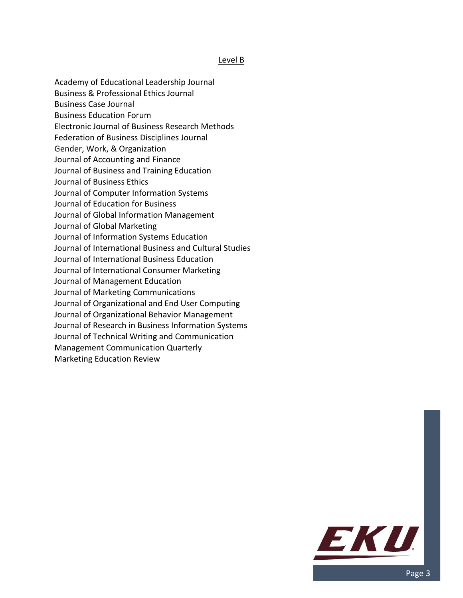## Level B

- Academy of Educational Leadership Journal
- Business & Professional Ethics Journal
- Business Case Journal
- Business Education Forum
- Electronic Journal of Business Research Methods
- Federation of Business Disciplines Journal
- Gender, Work, & Organization
- Journal of Accounting and Finance
- Journal of Business and Training Education
- Journal of Business Ethics
- Journal of Computer Information Systems
- Journal of Education for Business
- Journal of Global Information Management
- Journal of Global Marketing
- Journal of Information Systems Education
- Journal of International Business and Cultural Studies
- Journal of International Business Education
- Journal of International Consumer Marketing
- Journal of Management Education
- Journal of Marketing Communications
- Journal of Organizational and End User Computing
- Journal of Organizational Behavior Management
- Journal of Research in Business Information Systems
- Journal of Technical Writing and Communication
- Management Communication Quarterly
- Marketing Education Review